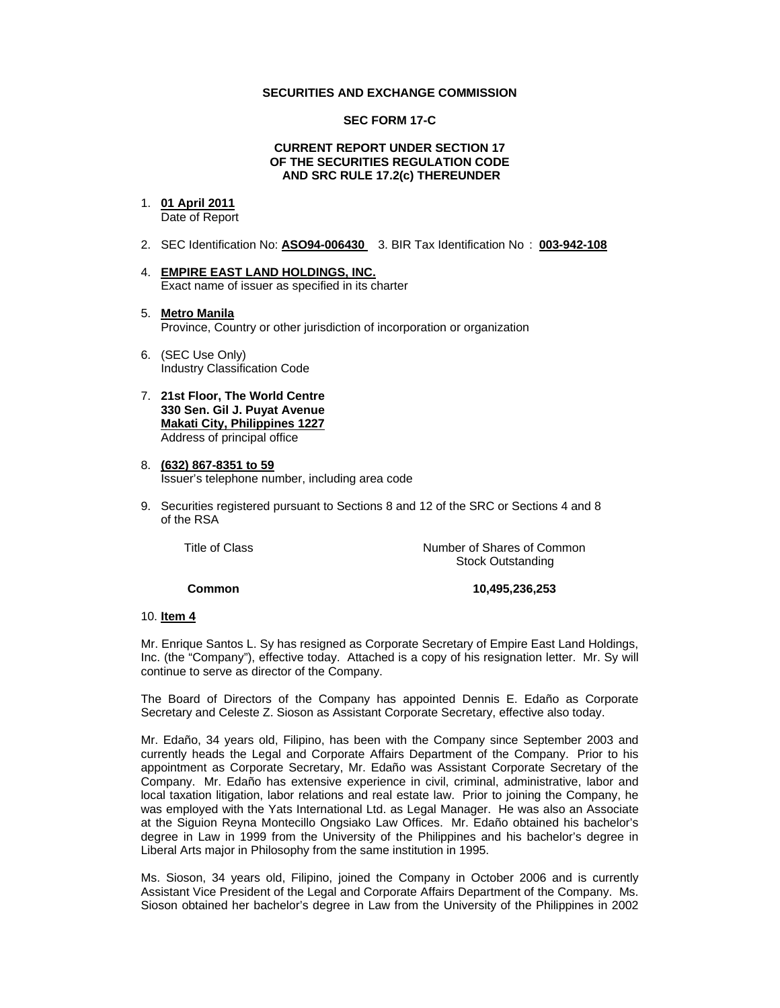### **SECURITIES AND EXCHANGE COMMISSION**

### **SEC FORM 17-C**

#### **CURRENT REPORT UNDER SECTION 17 OF THE SECURITIES REGULATION CODE AND SRC RULE 17.2(c) THEREUNDER**

#### 1. **01 April 2011**

Date of Report

- 2. SEC Identification No: **ASO94-006430** 3. BIR Tax Identification No : **003-942-108**
- 4. **EMPIRE EAST LAND HOLDINGS, INC.** Exact name of issuer as specified in its charter
- 5. **Metro Manila** Province, Country or other jurisdiction of incorporation or organization
- 6. (SEC Use Only) Industry Classification Code
- 7. **21st Floor, The World Centre 330 Sen. Gil J. Puyat Avenue Makati City, Philippines 1227** Address of principal office
- 8. **(632) 867-8351 to 59** Issuer's telephone number, including area code
- 9. Securities registered pursuant to Sections 8 and 12 of the SRC or Sections 4 and 8 of the RSA

 Title of ClassNumber of Shares of Common Stock Outstanding

 **Common 10,495,236,253** 

# 10. **Item 4**

Mr. Enrique Santos L. Sy has resigned as Corporate Secretary of Empire East Land Holdings, Inc. (the "Company"), effective today. Attached is a copy of his resignation letter. Mr. Sy will continue to serve as director of the Company.

The Board of Directors of the Company has appointed Dennis E. Edaño as Corporate Secretary and Celeste Z. Sioson as Assistant Corporate Secretary, effective also today.

Mr. Edaño, 34 years old, Filipino, has been with the Company since September 2003 and currently heads the Legal and Corporate Affairs Department of the Company. Prior to his appointment as Corporate Secretary, Mr. Edaño was Assistant Corporate Secretary of the Company. Mr. Edaño has extensive experience in civil, criminal, administrative, labor and local taxation litigation, labor relations and real estate law. Prior to joining the Company, he was employed with the Yats International Ltd. as Legal Manager. He was also an Associate at the Siguion Reyna Montecillo Ongsiako Law Offices. Mr. Edaño obtained his bachelor's degree in Law in 1999 from the University of the Philippines and his bachelor's degree in Liberal Arts major in Philosophy from the same institution in 1995.

Ms. Sioson, 34 years old, Filipino, joined the Company in October 2006 and is currently Assistant Vice President of the Legal and Corporate Affairs Department of the Company. Ms. Sioson obtained her bachelor's degree in Law from the University of the Philippines in 2002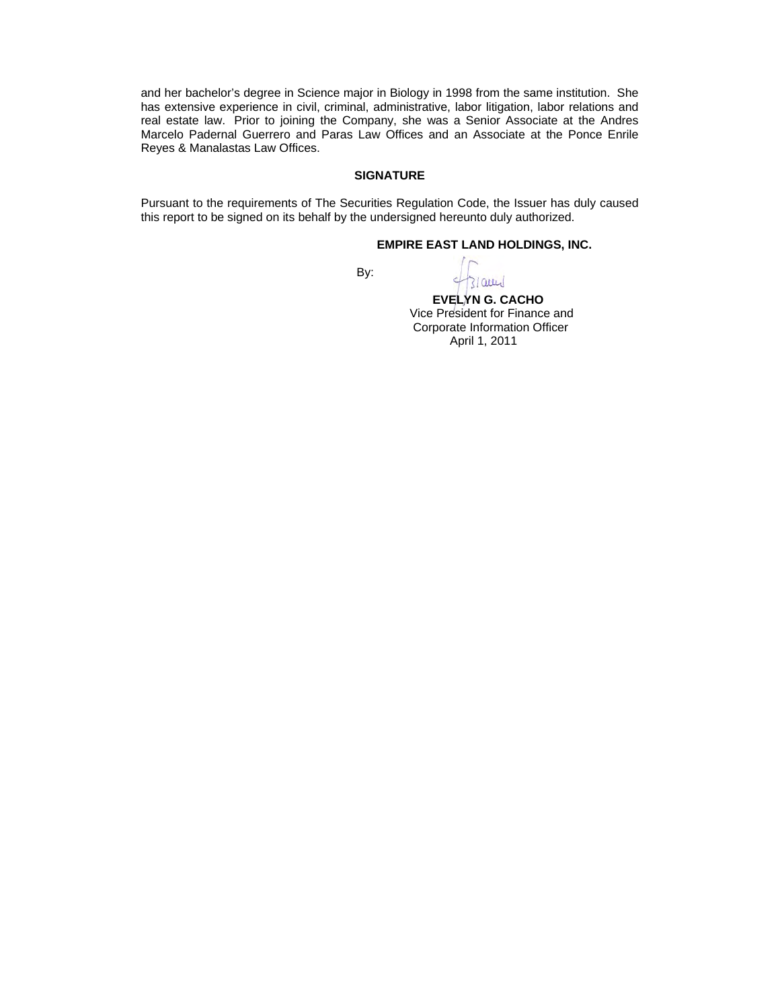and her bachelor's degree in Science major in Biology in 1998 from the same institution. She has extensive experience in civil, criminal, administrative, labor litigation, labor relations and real estate law. Prior to joining the Company, she was a Senior Associate at the Andres Marcelo Padernal Guerrero and Paras Law Offices and an Associate at the Ponce Enrile Reyes & Manalastas Law Offices.

### **SIGNATURE**

Pursuant to the requirements of The Securities Regulation Code, the Issuer has duly caused this report to be signed on its behalf by the undersigned hereunto duly authorized.

## **EMPIRE EAST LAND HOLDINGS, INC.**

**By: By:** 

31 aug

 **EVELYN G. CACHO** Vice President for Finance and Corporate Information Officer April 1, 2011